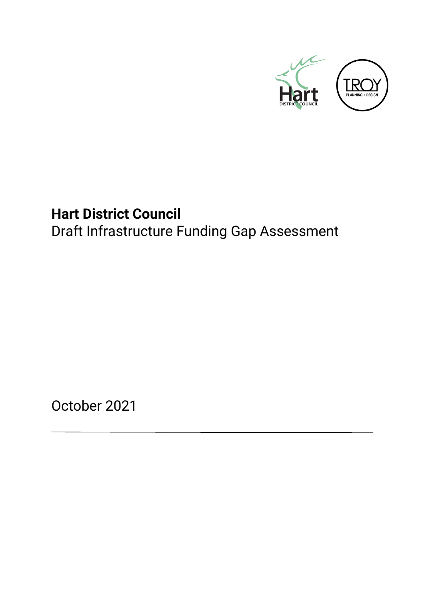

# <span id="page-0-0"></span>**Hart District Council**  Draft Infrastructure Funding Gap Assessment

October 2021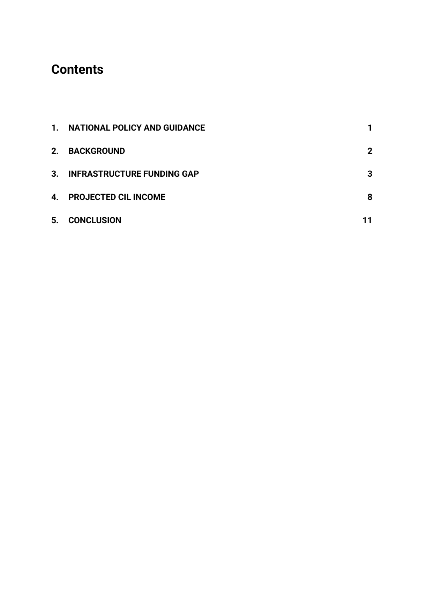## **Contents**

|    | 1. NATIONAL POLICY AND GUIDANCE   |             |
|----|-----------------------------------|-------------|
| 2. | <b>BACKGROUND</b>                 | $\mathbf 2$ |
| 3. | <b>INFRASTRUCTURE FUNDING GAP</b> | 3           |
| 4. | <b>PROJECTED CIL INCOME</b>       | 8           |
| 5. | <b>CONCLUSION</b>                 |             |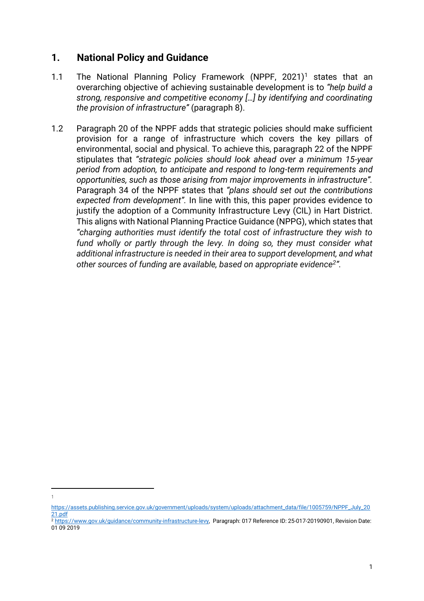#### <span id="page-2-0"></span>**1. National Policy and Guidance**

- 1.1 The National Planning Policy Framework (NPPF, 2021)<sup>1</sup> states that an overarching objective of achieving sustainable development is to *"help build a strong, responsive and competitive economy […] by identifying and coordinating the provision of infrastructure"* (paragraph 8).
- 1.2 Paragraph 20 of the NPPF adds that strategic policies should make sufficient provision for a range of infrastructure which covers the key pillars of environmental, social and physical. To achieve this, paragraph 22 of the NPPF stipulates that *"strategic policies should look ahead over a minimum 15-year period from adoption, to anticipate and respond to long-term requirements and opportunities, such as those arising from major improvements in infrastructure".*  Paragraph 34 of the NPPF states that *"plans should set out the contributions expected from development".* In line with this, this paper provides evidence to justify the adoption of a Community Infrastructure Levy (CIL) in Hart District. This aligns with National Planning Practice Guidance (NPPG), which states that *"charging authorities must identify the total cost of infrastructure they wish to*  fund wholly or partly through the levy. In doing so, they must consider what *additional infrastructure is needed in their area to support development, and what other sources of funding are available, based on appropriate evidence<sup>2</sup> ".*

1

[https://assets.publishing.service.gov.uk/government/uploads/system/uploads/attachment\\_data/file/1005759/NPPF\\_July\\_20](https://assets.publishing.service.gov.uk/government/uploads/system/uploads/attachment_data/file/1005759/NPPF_July_2021.pdf) [21.pdf](https://assets.publishing.service.gov.uk/government/uploads/system/uploads/attachment_data/file/1005759/NPPF_July_2021.pdf)

<sup>2</sup> [https://www.gov.uk/guidance/community-infrastructure-levy,](https://www.gov.uk/guidance/community-infrastructure-levy) Paragraph: 017 Reference ID: 25-017-20190901, Revision Date: 01 09 2019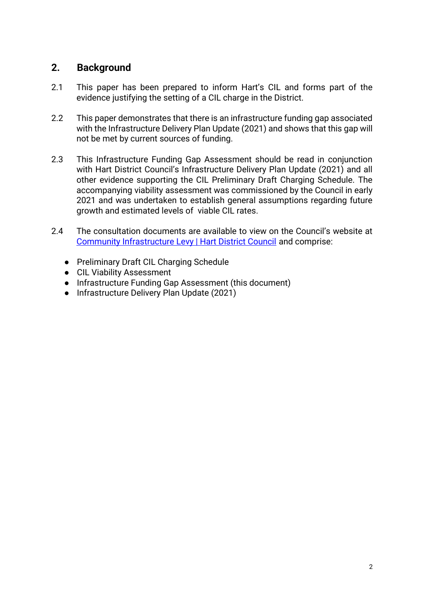### <span id="page-3-0"></span>**2. Background**

- 2.1 This paper has been prepared to inform Hart's CIL and forms part of the evidence justifying the setting of a CIL charge in the District.
- 2.2 This paper demonstrates that there is an infrastructure funding gap associated with the Infrastructure Delivery Plan Update (2021) and shows that this gap will not be met by current sources of funding.
- 2.3 This Infrastructure Funding Gap Assessment should be read in conjunction with Hart District Council's Infrastructure Delivery Plan Update (2021) and all other evidence supporting the CIL Preliminary Draft Charging Schedule. The accompanying viability assessment was commissioned by the Council in early 2021 and was undertaken to establish general assumptions regarding future growth and estimated levels of viable CIL rates.
- 2.4 The consultation documents are available to view on the Council's website at [Community Infrastructure Levy | Hart District Council](https://www.hart.gov.uk/community-infrastructure-levy) and comprise:
	- Preliminary Draft CIL Charging Schedule
	- CIL Viability Assessment
	- Infrastructure Funding Gap Assessment (this document)
	- Infrastructure Delivery Plan Update (2021)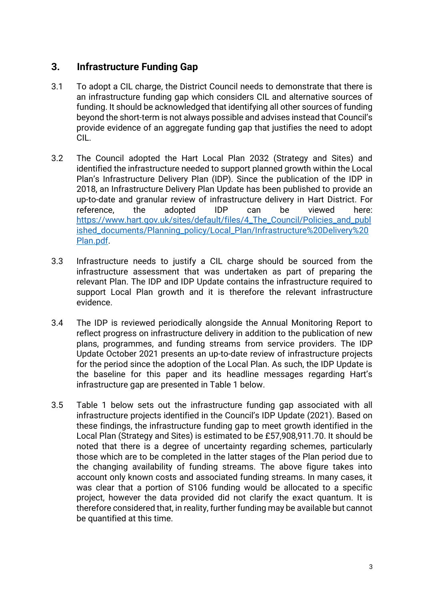#### <span id="page-4-0"></span>**3. Infrastructure Funding Gap**

- 3.1 To adopt a CIL charge, the District Council needs to demonstrate that there is an infrastructure funding gap which considers CIL and alternative sources of funding. It should be acknowledged that identifying all other sources of funding beyond the short-term is not always possible and advises instead that Council's provide evidence of an aggregate funding gap that justifies the need to adopt CIL.
- 3.2 The Council adopted the Hart Local Plan 2032 (Strategy and Sites) and identified the infrastructure needed to support planned growth within the Local Plan's Infrastructure Delivery Plan (IDP). Since the publication of the IDP in 2018, an Infrastructure Delivery Plan Update has been published to provide an up-to-date and granular review of infrastructure delivery in Hart District. For reference, the adopted IDP can be viewed here: [https://www.hart.gov.uk/sites/default/files/4\\_The\\_Council/Policies\\_and\\_publ](https://www.hart.gov.uk/sites/default/files/4_The_Council/Policies_and_published_documents/Planning_policy/Local_Plan/Infrastructure%20Delivery%20Plan.pdf) [ished\\_documents/Planning\\_policy/Local\\_Plan/Infrastructure%20Delivery%20](https://www.hart.gov.uk/sites/default/files/4_The_Council/Policies_and_published_documents/Planning_policy/Local_Plan/Infrastructure%20Delivery%20Plan.pdf) [Plan.pdf.](https://www.hart.gov.uk/sites/default/files/4_The_Council/Policies_and_published_documents/Planning_policy/Local_Plan/Infrastructure%20Delivery%20Plan.pdf)
- 3.3 Infrastructure needs to justify a CIL charge should be sourced from the infrastructure assessment that was undertaken as part of preparing the relevant Plan. The IDP and IDP Update contains the infrastructure required to support Local Plan growth and it is therefore the relevant infrastructure evidence.
- 3.4 The IDP is reviewed periodically alongside the Annual Monitoring Report to reflect progress on infrastructure delivery in addition to the publication of new plans, programmes, and funding streams from service providers. The IDP Update October 2021 presents an up-to-date review of infrastructure projects for the period since the adoption of the Local Plan. As such, the IDP Update is the baseline for this paper and its headline messages regarding Hart's infrastructure gap are presented in Table 1 below.
- 3.5 Table 1 below sets out the infrastructure funding gap associated with all infrastructure projects identified in the Council's IDP Update (2021). Based on these findings, the infrastructure funding gap to meet growth identified in the Local Plan (Strategy and Sites) is estimated to be £57,908,911.70. It should be noted that there is a degree of uncertainty regarding schemes, particularly those which are to be completed in the latter stages of the Plan period due to the changing availability of funding streams. The above figure takes into account only known costs and associated funding streams. In many cases, it was clear that a portion of S106 funding would be allocated to a specific project, however the data provided did not clarify the exact quantum. It is therefore considered that, in reality, further funding may be available but cannot be quantified at this time.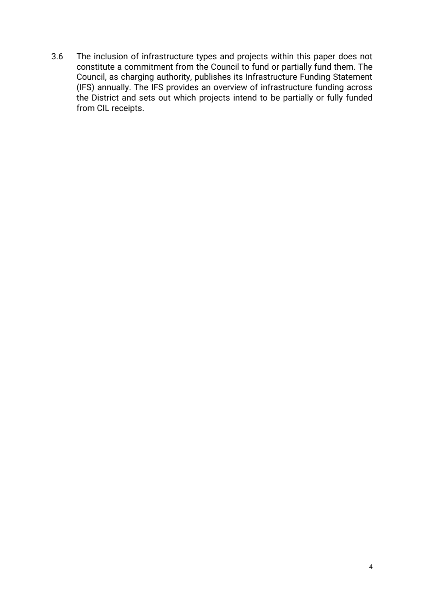3.6 The inclusion of infrastructure types and projects within this paper does not constitute a commitment from the Council to fund or partially fund them. The Council, as charging authority, publishes its Infrastructure Funding Statement (IFS) annually. The IFS provides an overview of infrastructure funding across the District and sets out which projects intend to be partially or fully funded from CIL receipts.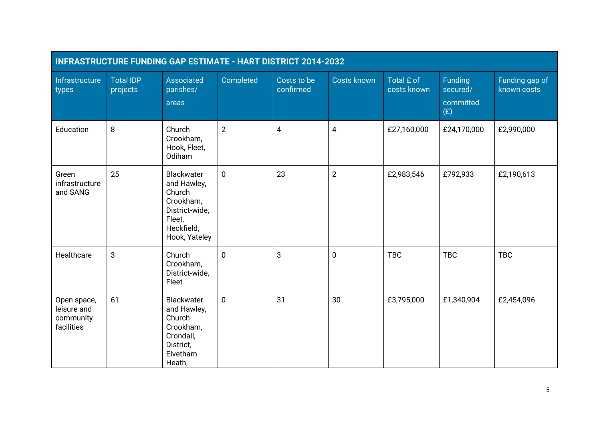| INFRASTRUCTURE FUNDING GAP ESTIMATE - HART DISTRICT 2014-2032 |                              |                                                                                                             |                |                          |                    |                           |                                         |                               |  |
|---------------------------------------------------------------|------------------------------|-------------------------------------------------------------------------------------------------------------|----------------|--------------------------|--------------------|---------------------------|-----------------------------------------|-------------------------------|--|
| Infrastructure<br>types                                       | <b>Total IDP</b><br>projects | Associated<br>parishes/<br>areas                                                                            | Completed      | Costs to be<br>confirmed | <b>Costs known</b> | Total £ of<br>costs known | Funding<br>secured/<br>committed<br>(E) | Funding gap of<br>known costs |  |
| Education                                                     | 8                            | Church<br>Crookham,<br>Hook, Fleet,<br>Odiham                                                               | $\overline{2}$ | $\overline{4}$           | 4                  | £27,160,000               | £24,170,000                             | £2,990,000                    |  |
| Green<br>infrastructure<br>and SANG                           | 25                           | Blackwater<br>and Hawley,<br>Church<br>Crookham,<br>District-wide,<br>Fleet.<br>Heckfield,<br>Hook, Yateley | $\mathbf 0$    | 23                       | $\overline{2}$     | £2,983,546                | £792,933                                | £2,190,613                    |  |
| Healthcare                                                    | 3                            | Church<br>Crookham,<br>District-wide,<br>Fleet                                                              | $\mathbf 0$    | 3                        | $\pmb{0}$          | <b>TBC</b>                | <b>TBC</b>                              | <b>TBC</b>                    |  |
| Open space,<br>leisure and<br>community<br>facilities         | 61                           | Blackwater<br>and Hawley,<br>Church<br>Crookham,<br>Crondall,<br>District,<br>Elvetham<br>Heath,            | $\mathbf 0$    | 31                       | 30                 | £3,795,000                | £1,340,904                              | £2,454,096                    |  |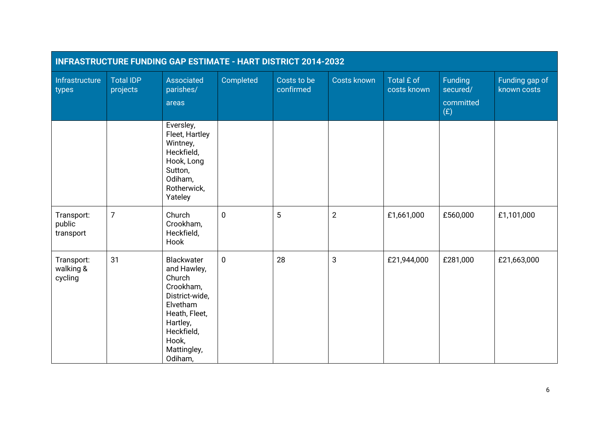| INFRASTRUCTURE FUNDING GAP ESTIMATE - HART DISTRICT 2014-2032 |                              |                                                                                                                                                              |             |                          |                    |                           |                                         |                               |
|---------------------------------------------------------------|------------------------------|--------------------------------------------------------------------------------------------------------------------------------------------------------------|-------------|--------------------------|--------------------|---------------------------|-----------------------------------------|-------------------------------|
| Infrastructure<br>types                                       | <b>Total IDP</b><br>projects | Associated<br>parishes/<br>areas                                                                                                                             | Completed   | Costs to be<br>confirmed | <b>Costs known</b> | Total £ of<br>costs known | Funding<br>secured/<br>committed<br>(E) | Funding gap of<br>known costs |
|                                                               |                              | Eversley,<br>Fleet, Hartley<br>Wintney,<br>Heckfield,<br>Hook, Long<br>Sutton,<br>Odiham,<br>Rotherwick,<br>Yateley                                          |             |                          |                    |                           |                                         |                               |
| Transport:<br>public<br>transport                             | $\overline{7}$               | Church<br>Crookham,<br>Heckfield,<br>Hook                                                                                                                    | $\mathbf 0$ | 5                        | $\overline{2}$     | £1,661,000                | £560,000                                | £1,101,000                    |
| Transport:<br>walking &<br>cycling                            | 31                           | Blackwater<br>and Hawley,<br>Church<br>Crookham,<br>District-wide,<br>Elvetham<br>Heath, Fleet,<br>Hartley,<br>Heckfield,<br>Hook,<br>Mattingley,<br>Odiham, | $\mathbf 0$ | 28                       | 3                  | £21,944,000               | £281,000                                | £21,663,000                   |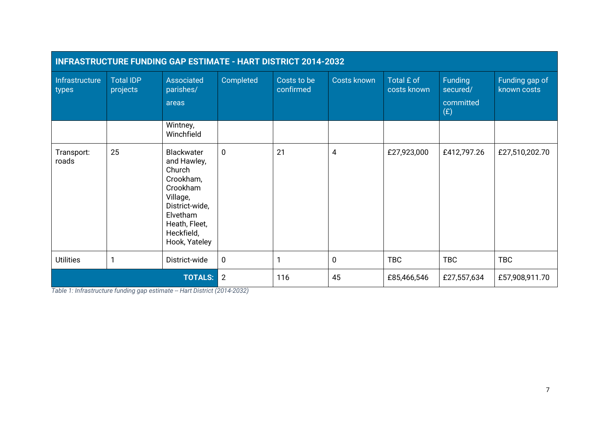| INFRASTRUCTURE FUNDING GAP ESTIMATE - HART DISTRICT 2014-2032 |                              |                                                                                                                                                        |                |                          |                    |                           |                                         |                               |
|---------------------------------------------------------------|------------------------------|--------------------------------------------------------------------------------------------------------------------------------------------------------|----------------|--------------------------|--------------------|---------------------------|-----------------------------------------|-------------------------------|
| Infrastructure<br>types                                       | <b>Total IDP</b><br>projects | Associated<br>parishes/<br>areas                                                                                                                       | Completed      | Costs to be<br>confirmed | <b>Costs known</b> | Total £ of<br>costs known | Funding<br>secured/<br>committed<br>(E) | Funding gap of<br>known costs |
|                                                               |                              | Wintney,<br>Winchfield                                                                                                                                 |                |                          |                    |                           |                                         |                               |
| Transport:<br>roads                                           | 25                           | Blackwater<br>and Hawley,<br>Church<br>Crookham,<br>Crookham<br>Village,<br>District-wide,<br>Elvetham<br>Heath, Fleet,<br>Heckfield,<br>Hook, Yateley | $\mathbf 0$    | 21                       | 4                  | £27,923,000               | £412,797.26                             | £27,510,202.70                |
| <b>Utilities</b>                                              |                              | District-wide                                                                                                                                          | $\mathbf 0$    |                          | $\mathbf 0$        | <b>TBC</b>                | <b>TBC</b>                              | <b>TBC</b>                    |
|                                                               |                              | <b>TOTALS:</b>                                                                                                                                         | $\overline{2}$ | 116                      | 45                 | £85,466,546               | £27,557,634                             | £57,908,911.70                |

*Table 1: Infrastructure funding gap estimate -- Hart District (2014-2032)*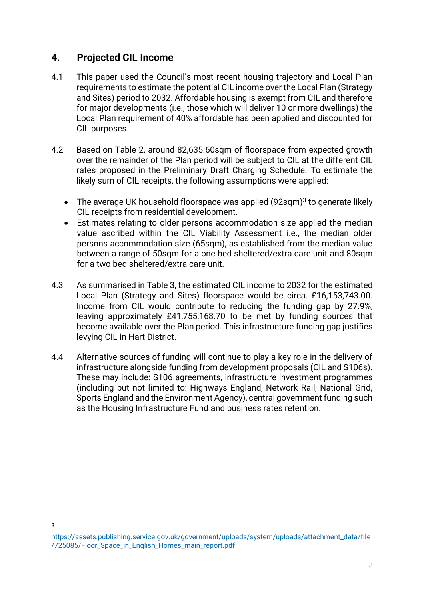#### <span id="page-9-0"></span>**4. Projected CIL Income**

- 4.1 This paper used the Council's most recent housing trajectory and Local Plan requirements to estimate the potential CIL income over the Local Plan (Strategy and Sites) period to 2032. Affordable housing is exempt from CIL and therefore for major developments (i.e., those which will deliver 10 or more dwellings) the Local Plan requirement of 40% affordable has been applied and discounted for CIL purposes.
- 4.2 Based on Table 2, around 82,635.60sqm of floorspace from expected growth over the remainder of the Plan period will be subject to CIL at the different CIL rates proposed in the Preliminary Draft Charging Schedule. To estimate the likely sum of CIL receipts, the following assumptions were applied:
	- $\bullet$  The average UK household floorspace was applied (92sqm) $^3$  to generate likely CIL receipts from residential development.
	- Estimates relating to older persons accommodation size applied the median value ascribed within the CIL Viability Assessment i.e., the median older persons accommodation size (65sqm), as established from the median value between a range of 50sqm for a one bed sheltered/extra care unit and 80sqm for a two bed sheltered/extra care unit.
- 4.3 As summarised in Table 3, the estimated CIL income to 2032 for the estimated Local Plan (Strategy and Sites) floorspace would be circa. £16,153,743.00. Income from CIL would contribute to reducing the funding gap by 27.9%, leaving approximately £41,755,168.70 to be met by funding sources that become available over the Plan period. This infrastructure funding gap justifies levying CIL in Hart District.
- 4.4 Alternative sources of funding will continue to play a key role in the delivery of infrastructure alongside funding from development proposals (CIL and S106s). These may include: S106 agreements, infrastructure investment programmes (including but not limited to: Highways England, Network Rail, National Grid, Sports England and the Environment Agency), central government funding such as the Housing Infrastructure Fund and business rates retention.

<sup>3</sup>

[https://assets.publishing.service.gov.uk/government/uploads/system/uploads/attachment\\_data/file](https://assets.publishing.service.gov.uk/government/uploads/system/uploads/attachment_data/file/725085/Floor_Space_in_English_Homes_main_report.pdf) [/725085/Floor\\_Space\\_in\\_English\\_Homes\\_main\\_report.pdf](https://assets.publishing.service.gov.uk/government/uploads/system/uploads/attachment_data/file/725085/Floor_Space_in_English_Homes_main_report.pdf)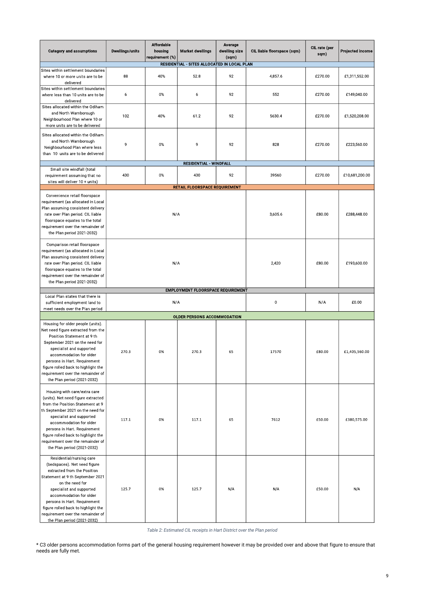\* C3 older persons accommodation forms part of the general housing requirement however it may be provided over and above that figure to ensure that needs are fully met.

| <b>Category and assumptions</b>                                                                                                                                                                                                                                                                                                                  | <b>Dwellings/units</b> | <b>Affordable</b><br>housing<br>requirement (%) | <b>Market dwellings</b>                            | Average<br>dwelling size<br>(sqm) | CIL liable floorspace (sqm) | CIL rate (per<br>sqm) | <b>Projected income</b> |
|--------------------------------------------------------------------------------------------------------------------------------------------------------------------------------------------------------------------------------------------------------------------------------------------------------------------------------------------------|------------------------|-------------------------------------------------|----------------------------------------------------|-----------------------------------|-----------------------------|-----------------------|-------------------------|
|                                                                                                                                                                                                                                                                                                                                                  |                        |                                                 | <b>RESIDENTIAL - SITES ALLOCATED IN LOCAL PLAN</b> |                                   |                             |                       |                         |
| Sites within settlement boundaries<br>where 10 or more units are to be<br>delivered                                                                                                                                                                                                                                                              | 88                     | 40%                                             | 52.8                                               | 92                                | 4,857.6                     | £270.00               | £1,311,552.00           |
| Sites within settlement boundaries<br>where less than 10 units are to be<br>delivered                                                                                                                                                                                                                                                            | 6                      | 0%                                              | 6                                                  | 92                                | 552                         | £270.00               | £149,040.00             |
| Sites allocated within the Odiham<br>and North Warnborough<br>Neighbourhood Plan where 10 or<br>more units are to be delivered                                                                                                                                                                                                                   | 102                    | 40%                                             | 61.2                                               | 92                                | 5630.4                      | £270.00               | £1,520,208.00           |
| Sites allocated within the Odiham<br>and North Warnborough<br>Neighbourhood Plan where less<br>than 10 units are to be delivered                                                                                                                                                                                                                 | 9                      | $0\%$                                           | 9                                                  | 92                                | 828                         | £270.00               | £223,560.00             |
| Small site windfall (total                                                                                                                                                                                                                                                                                                                       |                        |                                                 | <b>RESIDENTIAL - WINDFALL</b>                      |                                   |                             |                       |                         |
| requirement assuming that no<br>sites will deliver 10 + units)                                                                                                                                                                                                                                                                                   | 430                    | 0%                                              | 430                                                | 92                                | 39560                       | £270.00               | £10,681,200.00          |
|                                                                                                                                                                                                                                                                                                                                                  |                        |                                                 | RETAIL FLOORSPACE REQUIREMENT                      |                                   |                             |                       |                         |
| Convenience retail floorspace<br>requirement (as allocated in Local<br>Plan assuming consistent delivery<br>rate over Plan period. CIL liable<br>floorspace equates to the total<br>requirement over the remainder of<br>the Plan period 2021-2032)                                                                                              |                        | N/A                                             |                                                    | 3,605.6                           | £80.00                      | £288,448.00           |                         |
| Comparison retail floorspace<br>requirement (as allocated in Local<br>Plan assuming consistent delivery<br>rate over Plan period. CIL liable<br>floorspace equates to the total<br>requirement over the remainder of<br>the Plan period 2021-2032)                                                                                               | N/A                    |                                                 |                                                    | 2,420                             | £80.00                      | £193,600.00           |                         |
| Local Plan states that there is<br>sufficient employment land to<br>meet needs over the Plan period                                                                                                                                                                                                                                              |                        | N/A                                             | <b>EMPLOYMENT FLOORSPACE REQUIREMENT</b>           | $\pmb{0}$                         | N/A                         | £0.00                 |                         |
|                                                                                                                                                                                                                                                                                                                                                  |                        |                                                 | <b>OLDER PERSONS ACCOMMODATION</b>                 |                                   |                             |                       |                         |
| Housing for older people (units).<br>Net need figure extracted from the<br>Position Statement at 9 th<br>September 2021 on the need for<br>specialist and supported<br>accommodation for older<br>persons in Hart. Requirement<br>figure rolled back to highlight the<br>requirement over the remainder of<br>the Plan period (2021-2032)        | 270.3                  | 0%                                              | 270.3                                              | 65                                | 17570                       | £80.00                | £1,405,560.00           |
| Housing with care/extra care<br>(units). Net need figure extracted<br>from the Position Statement at 9<br>th September 2021 on the need for<br>specialist and supported<br>accommodation for older<br>persons in Hart. Requirement<br>figure rolled back to highlight the<br>requirement over the remainder of<br>the Plan period (2021-2032)    | 117.1                  | 0%                                              | 117.1                                              | 65                                | 7612                        | £50.00                | £380,575.00             |
| Residential/nursing care<br>(bedspaces). Net need figure<br>extracted from the Position<br>Statement at 9 th September 2021<br>on the need for<br>specialist and supported<br>accommodation for older<br>persons in Hart. Requirement<br>figure rolled back to highlight the<br>requirement over the remainder of<br>the Plan period (2021-2032) | 125.7                  | 0%                                              | 125.7                                              | N/A                               | N/A                         | £50.00                | N/A                     |

*Table 2: Estimated CIL receipts in Hart District over the Plan period*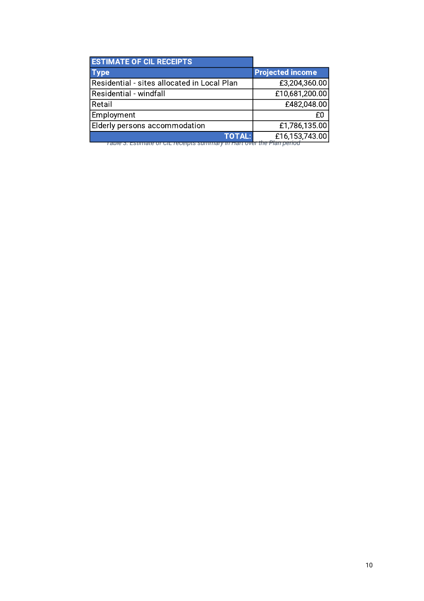| <b>ESTIMATE OF CIL RECEIPTS</b>             |                         |
|---------------------------------------------|-------------------------|
| <b>Type</b>                                 | <b>Projected income</b> |
| Residential - sites allocated in Local Plan | £3,204,360.00           |
| Residential - windfall                      | £10,681,200.00          |
| Retail                                      | £482,048.00             |
| Employment                                  | ۴N                      |
| Elderly persons accommodation               | £1,786,135.00           |
| <b>TOTAL:</b>                               | £16,153,743.00          |

*Table 3: Estimate of CIL receipts summary in Hart over the Plan period*